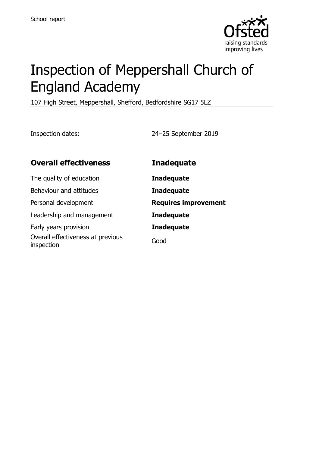

# Inspection of Meppershall Church of England Academy

107 High Street, Meppershall, Shefford, Bedfordshire SG17 5LZ

Inspection dates: 24–25 September 2019

| <b>Overall effectiveness</b>                    | <b>Inadequate</b>           |
|-------------------------------------------------|-----------------------------|
| The quality of education                        | <b>Inadequate</b>           |
| Behaviour and attitudes                         | <b>Inadequate</b>           |
| Personal development                            | <b>Requires improvement</b> |
| Leadership and management                       | <b>Inadequate</b>           |
| Early years provision                           | <b>Inadequate</b>           |
| Overall effectiveness at previous<br>inspection | Good                        |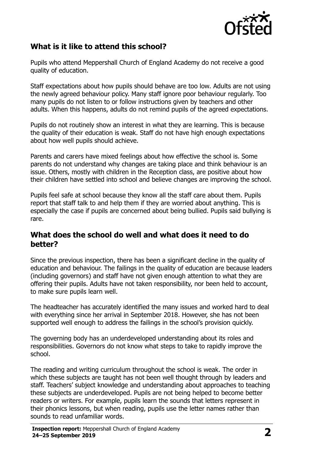

# **What is it like to attend this school?**

Pupils who attend Meppershall Church of England Academy do not receive a good quality of education.

Staff expectations about how pupils should behave are too low. Adults are not using the newly agreed behaviour policy. Many staff ignore poor behaviour regularly. Too many pupils do not listen to or follow instructions given by teachers and other adults. When this happens, adults do not remind pupils of the agreed expectations.

Pupils do not routinely show an interest in what they are learning. This is because the quality of their education is weak. Staff do not have high enough expectations about how well pupils should achieve.

Parents and carers have mixed feelings about how effective the school is. Some parents do not understand why changes are taking place and think behaviour is an issue. Others, mostly with children in the Reception class, are positive about how their children have settled into school and believe changes are improving the school.

Pupils feel safe at school because they know all the staff care about them. Pupils report that staff talk to and help them if they are worried about anything. This is especially the case if pupils are concerned about being bullied. Pupils said bullying is rare.

#### **What does the school do well and what does it need to do better?**

Since the previous inspection, there has been a significant decline in the quality of education and behaviour. The failings in the quality of education are because leaders (including governors) and staff have not given enough attention to what they are offering their pupils. Adults have not taken responsibility, nor been held to account, to make sure pupils learn well.

The headteacher has accurately identified the many issues and worked hard to deal with everything since her arrival in September 2018. However, she has not been supported well enough to address the failings in the school's provision quickly.

The governing body has an underdeveloped understanding about its roles and responsibilities. Governors do not know what steps to take to rapidly improve the school.

The reading and writing curriculum throughout the school is weak. The order in which these subjects are taught has not been well thought through by leaders and staff. Teachers' subject knowledge and understanding about approaches to teaching these subjects are underdeveloped. Pupils are not being helped to become better readers or writers. For example, pupils learn the sounds that letters represent in their phonics lessons, but when reading, pupils use the letter names rather than sounds to read unfamiliar words.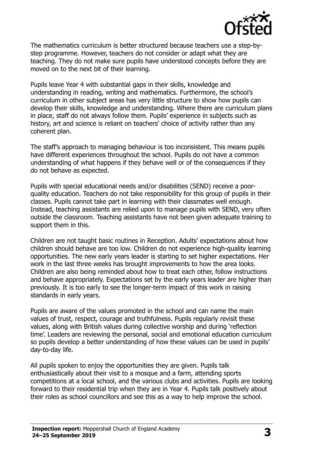

The mathematics curriculum is better structured because teachers use a step-bystep programme. However, teachers do not consider or adapt what they are teaching. They do not make sure pupils have understood concepts before they are moved on to the next bit of their learning.

Pupils leave Year 4 with substantial gaps in their skills, knowledge and understanding in reading, writing and mathematics. Furthermore, the school's curriculum in other subject areas has very little structure to show how pupils can develop their skills, knowledge and understanding. Where there are curriculum plans in place, staff do not always follow them. Pupils' experience in subjects such as history, art and science is reliant on teachers' choice of activity rather than any coherent plan.

The staff's approach to managing behaviour is too inconsistent. This means pupils have different experiences throughout the school. Pupils do not have a common understanding of what happens if they behave well or of the consequences if they do not behave as expected.

Pupils with special educational needs and/or disabilities (SEND) receive a poorquality education. Teachers do not take responsibility for this group of pupils in their classes. Pupils cannot take part in learning with their classmates well enough. Instead, teaching assistants are relied upon to manage pupils with SEND, very often outside the classroom. Teaching assistants have not been given adequate training to support them in this.

Children are not taught basic routines in Reception. Adults' expectations about how children should behave are too low. Children do not experience high-quality learning opportunities. The new early years leader is starting to set higher expectations. Her work in the last three weeks has brought improvements to how the area looks. Children are also being reminded about how to treat each other, follow instructions and behave appropriately. Expectations set by the early years leader are higher than previously. It is too early to see the longer-term impact of this work in raising standards in early years.

Pupils are aware of the values promoted in the school and can name the main values of trust, respect, courage and truthfulness. Pupils regularly revisit these values, along with British values during collective worship and during 'reflection time'. Leaders are reviewing the personal, social and emotional education curriculum so pupils develop a better understanding of how these values can be used in pupils' day-to-day life.

All pupils spoken to enjoy the opportunities they are given. Pupils talk enthusiastically about their visit to a mosque and a farm, attending sports competitions at a local school, and the various clubs and activities. Pupils are looking forward to their residential trip when they are in Year 4. Pupils talk positively about their roles as school councillors and see this as a way to help improve the school.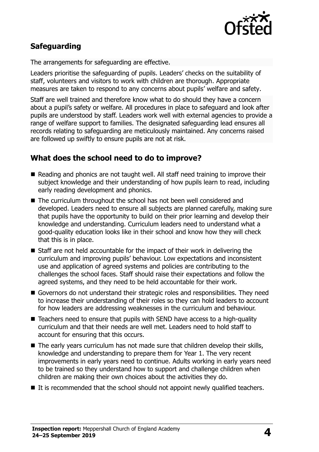

# **Safeguarding**

The arrangements for safeguarding are effective.

Leaders prioritise the safeguarding of pupils. Leaders' checks on the suitability of staff, volunteers and visitors to work with children are thorough. Appropriate measures are taken to respond to any concerns about pupils' welfare and safety.

Staff are well trained and therefore know what to do should they have a concern about a pupil's safety or welfare. All procedures in place to safeguard and look after pupils are understood by staff. Leaders work well with external agencies to provide a range of welfare support to families. The designated safeguarding lead ensures all records relating to safeguarding are meticulously maintained. Any concerns raised are followed up swiftly to ensure pupils are not at risk.

# **What does the school need to do to improve?**

- Reading and phonics are not taught well. All staff need training to improve their subject knowledge and their understanding of how pupils learn to read, including early reading development and phonics.
- The curriculum throughout the school has not been well considered and developed. Leaders need to ensure all subjects are planned carefully, making sure that pupils have the opportunity to build on their prior learning and develop their knowledge and understanding. Curriculum leaders need to understand what a good-quality education looks like in their school and know how they will check that this is in place.
- Staff are not held accountable for the impact of their work in delivering the curriculum and improving pupils' behaviour. Low expectations and inconsistent use and application of agreed systems and policies are contributing to the challenges the school faces. Staff should raise their expectations and follow the agreed systems, and they need to be held accountable for their work.
- Governors do not understand their strategic roles and responsibilities. They need to increase their understanding of their roles so they can hold leaders to account for how leaders are addressing weaknesses in the curriculum and behaviour.
- Teachers need to ensure that pupils with SEND have access to a high-quality curriculum and that their needs are well met. Leaders need to hold staff to account for ensuring that this occurs.
- The early years curriculum has not made sure that children develop their skills, knowledge and understanding to prepare them for Year 1. The very recent improvements in early years need to continue. Adults working in early years need to be trained so they understand how to support and challenge children when children are making their own choices about the activities they do.
- $\blacksquare$  It is recommended that the school should not appoint newly qualified teachers.

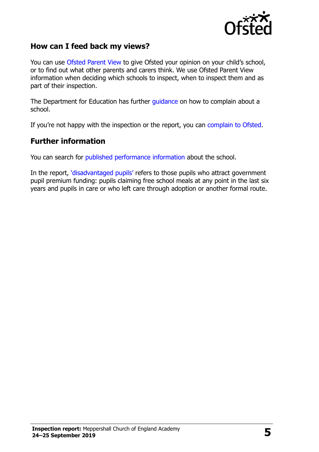

#### **How can I feed back my views?**

You can use [Ofsted Parent View](http://parentview.ofsted.gov.uk/) to give Ofsted your opinion on your child's school, or to find out what other parents and carers think. We use Ofsted Parent View information when deciding which schools to inspect, when to inspect them and as part of their inspection.

The Department for Education has further [guidance](http://www.gov.uk/complain-about-school) on how to complain about a school.

If you're not happy with the inspection or the report, you can [complain to Ofsted.](http://www.gov.uk/complain-ofsted-report)

#### **Further information**

You can search for [published performance information](http://www.compare-school-performance.service.gov.uk/) about the school.

In the report, '[disadvantaged pupils](http://www.gov.uk/guidance/pupil-premium-information-for-schools-and-alternative-provision-settings)' refers to those pupils who attract government pupil premium funding: pupils claiming free school meals at any point in the last six years and pupils in care or who left care through adoption or another formal route.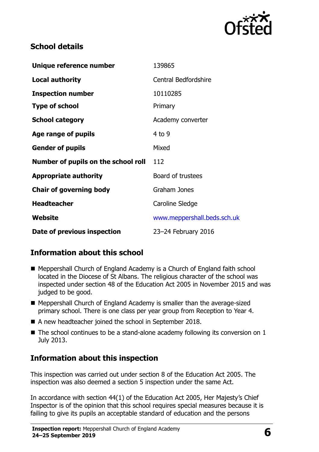

## **School details**

| Unique reference number             | 139865                      |
|-------------------------------------|-----------------------------|
| <b>Local authority</b>              | <b>Central Bedfordshire</b> |
| <b>Inspection number</b>            | 10110285                    |
| <b>Type of school</b>               | Primary                     |
| <b>School category</b>              | Academy converter           |
| Age range of pupils                 | $4$ to 9                    |
| <b>Gender of pupils</b>             | Mixed                       |
| Number of pupils on the school roll | 112                         |
| <b>Appropriate authority</b>        | Board of trustees           |
| <b>Chair of governing body</b>      | Graham Jones                |
| <b>Headteacher</b>                  | Caroline Sledge             |
| Website                             | www.meppershall.beds.sch.uk |
| Date of previous inspection         | 23-24 February 2016         |

# **Information about this school**

- Meppershall Church of England Academy is a Church of England faith school located in the Diocese of St Albans. The religious character of the school was inspected under section 48 of the Education Act 2005 in November 2015 and was judged to be good.
- Meppershall Church of England Academy is smaller than the average-sized primary school. There is one class per year group from Reception to Year 4.
- A new headteacher joined the school in September 2018.
- $\blacksquare$  The school continues to be a stand-alone academy following its conversion on 1 July 2013.

# **Information about this inspection**

This inspection was carried out under section 8 of the Education Act 2005. The inspection was also deemed a section 5 inspection under the same Act.

In accordance with section 44(1) of the Education Act 2005, Her Majesty's Chief Inspector is of the opinion that this school requires special measures because it is failing to give its pupils an acceptable standard of education and the persons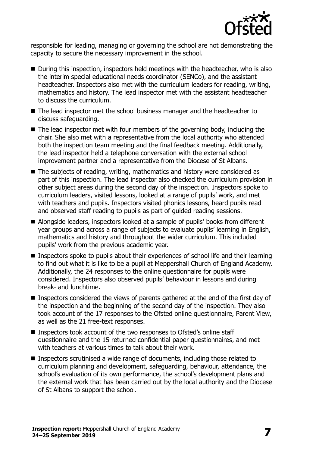

responsible for leading, managing or governing the school are not demonstrating the capacity to secure the necessary improvement in the school.

- During this inspection, inspectors held meetings with the headteacher, who is also the interim special educational needs coordinator (SENCo), and the assistant headteacher. Inspectors also met with the curriculum leaders for reading, writing, mathematics and history. The lead inspector met with the assistant headteacher to discuss the curriculum.
- The lead inspector met the school business manager and the headteacher to discuss safeguarding.
- The lead inspector met with four members of the governing body, including the chair. She also met with a representative from the local authority who attended both the inspection team meeting and the final feedback meeting. Additionally, the lead inspector held a telephone conversation with the external school improvement partner and a representative from the Diocese of St Albans.
- The subjects of reading, writing, mathematics and history were considered as part of this inspection. The lead inspector also checked the curriculum provision in other subject areas during the second day of the inspection. Inspectors spoke to curriculum leaders, visited lessons, looked at a range of pupils' work, and met with teachers and pupils. Inspectors visited phonics lessons, heard pupils read and observed staff reading to pupils as part of guided reading sessions.
- Alongside leaders, inspectors looked at a sample of pupils' books from different year groups and across a range of subjects to evaluate pupils' learning in English, mathematics and history and throughout the wider curriculum. This included pupils' work from the previous academic year.
- Inspectors spoke to pupils about their experiences of school life and their learning to find out what it is like to be a pupil at Meppershall Church of England Academy. Additionally, the 24 responses to the online questionnaire for pupils were considered. Inspectors also observed pupils' behaviour in lessons and during break- and lunchtime.
- Inspectors considered the views of parents gathered at the end of the first dav of the inspection and the beginning of the second day of the inspection. They also took account of the 17 responses to the Ofsted online questionnaire, Parent View, as well as the 21 free-text responses.
- Inspectors took account of the two responses to Ofsted's online staff questionnaire and the 15 returned confidential paper questionnaires, and met with teachers at various times to talk about their work.
- Inspectors scrutinised a wide range of documents, including those related to curriculum planning and development, safeguarding, behaviour, attendance, the school's evaluation of its own performance, the school's development plans and the external work that has been carried out by the local authority and the Diocese of St Albans to support the school.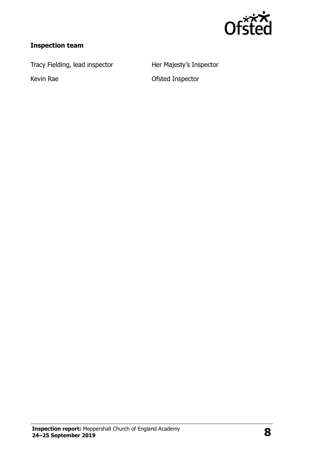

# **Inspection team**

Tracy Fielding, lead inspector **Her Majesty's Inspector** 

Kevin Rae **Communist Contract Contract Contract Contract Contract Contract Contract Contract Contract Contract Contract Contract Contract Contract Contract Contract Contract Contract Contract Contract Contract Contract Con**